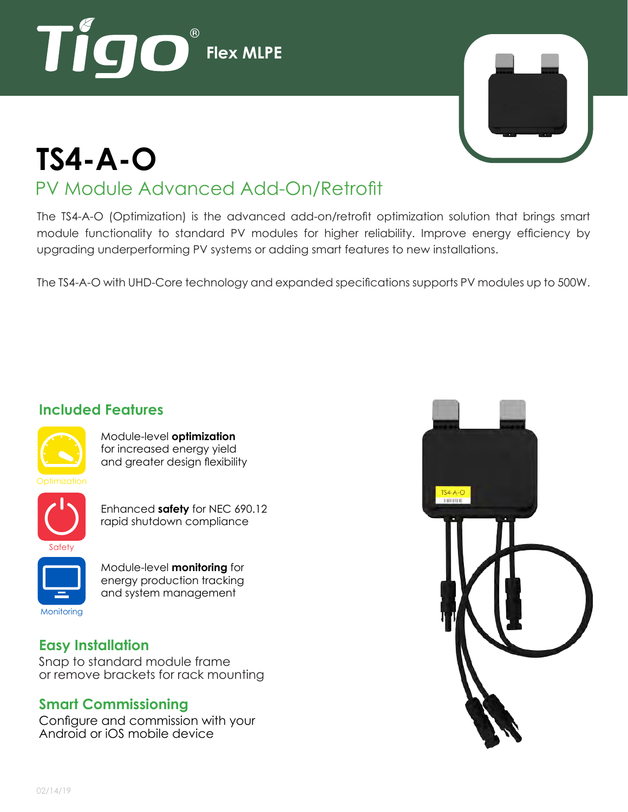



# **TS4-A-O** PV Module Advanced Add-On/Retrofit

The TS4-A-O (Optimization) is the advanced add-on/retrofit optimization solution that brings smart module functionality to standard PV modules for higher reliability. Improve energy efficiency by upgrading underperforming PV systems or adding smart features to new installations.

The TS4-A-O with UHD-Core technology and expanded specifications supports PV modules up to 500W.

## **Included Features**



Monitoring

Module-level **optimization** for increased energy yield and greater design flexibility

Enhanced **safety** for NEC 690.12 rapid shutdown compliance



#### **Easy Installation**

Snap to standard module frame or remove brackets for rack mounting

## **Smart Commissioning**

Configure and commission with your Android or iOS mobile device

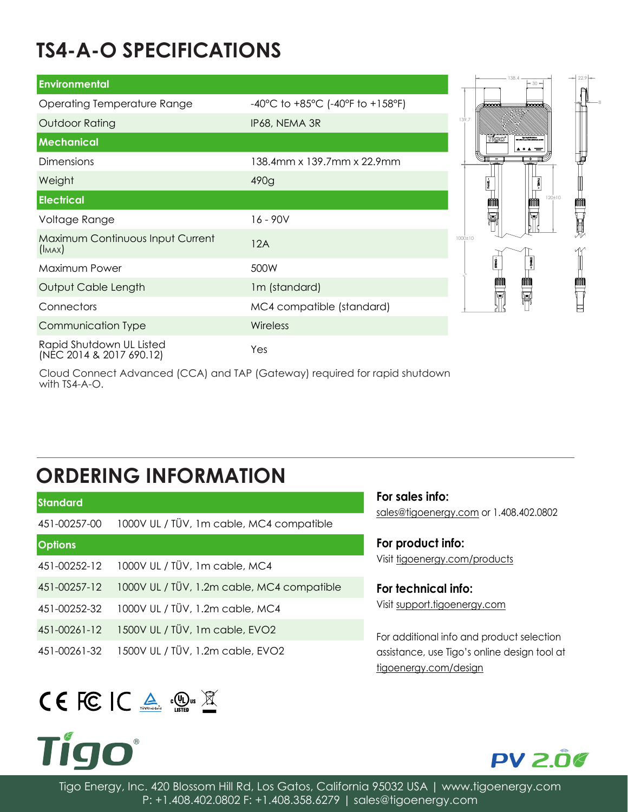# **TS4-A-O SPECIFICATIONS**

| <b>Environmental</b>                                  |                                  |
|-------------------------------------------------------|----------------------------------|
| Operating Temperature Range                           | -40°C to +85°C (-40°F to +158°F) |
| <b>Outdoor Rating</b>                                 | IP68, NEMA 3R                    |
| Mechanical                                            |                                  |
| <b>Dimensions</b>                                     | 138.4mm x 139.7mm x 22.9mm       |
| Weight                                                | 490g                             |
| <b>Electrical</b>                                     |                                  |
| Voltage Range                                         | $16 - 90V$                       |
| Maximum Continuous Input Current<br>$(\mathsf{IMAX})$ | 12A                              |
| Maximum Power                                         | 500W                             |
| Output Cable Length                                   | 1m (standard)                    |
| Connectors                                            | MC4 compatible (standard)        |
| Communication Type                                    | Wireless                         |
| Rapid Shutdown UL Listed<br>(NEC 2014 & 2017 690.12)  | Yes                              |

Cloud Connect Advanced (CCA) and TAP (Gateway) required for rapid shutdown with TS4-A-O.

# **ORDERING INFORMATION**

| Standard           |                                            |
|--------------------|--------------------------------------------|
| 451-00257-00       | 1000V UL / TÜV, 1m cable, MC4 compatible   |
| <b>Options</b>     |                                            |
| 451-00252-12       | 1000V UL / TÜV, 1m cable, MC4              |
| $451 - 00257 - 12$ | 1000V UL / TÜV, 1.2m cable, MC4 compatible |
| 451-00252-32       | 1000V UL / TÜV, 1.2m cable, MC4            |
| 451-00261-12       | 1500V UL / TÜV, 1m cable, EVO2             |
| 451-00261-32       | 1500V UL / TÜV, 1.2m cable, EVO2           |

# $C \in FC C \subseteq \mathbb{C}$



**For sales info:** sales@tigoenergy.com or 1.408.402.0802

**For product info:** Visit tigoenergy.com/products

#### **For technical info:** Visit support.tigoenergy.com

For additional info and product selection assistance, use Tigo's online design tool at tigoenergy.com/design



Tigo Energy, Inc. 420 Blossom Hill Rd, Los Gatos, California 95032 USA | www.tigoenergy.com P: +1.408.402.0802 F: +1.408.358.6279 | sales@tigoenergy.com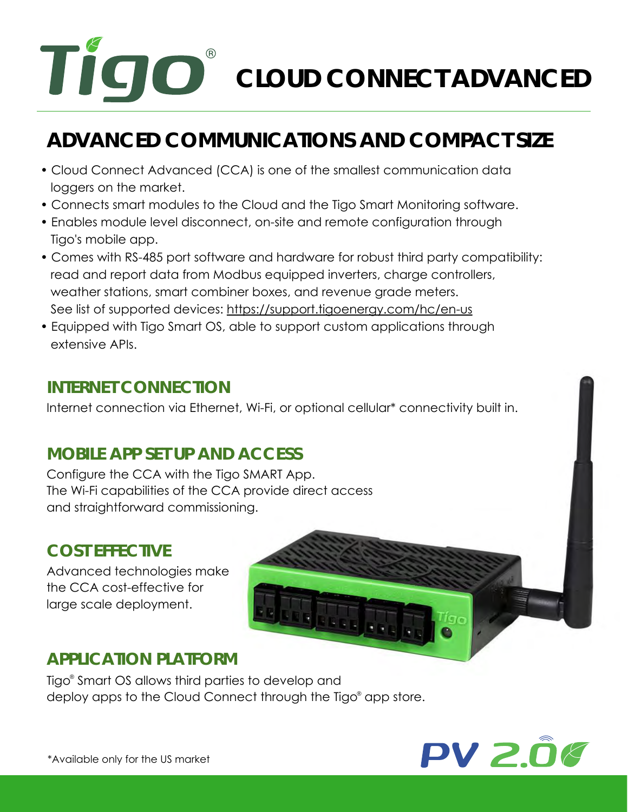# $T$ <sup>8</sup> CLOUD CONNECT ADVANCED

# **ADVANCED COMMUNICATIONS AND COMPACT SIZE**

- Cloud Connect Advanced (CCA) is one of the smallest communication data loggers on the market.
- Connects smart modules to the Cloud and the Tigo Smart Monitoring software.
- Enables module level disconnect, on-site and remote configuration through Tigo's mobile app.
- Comes with RS-485 port software and hardware for robust third party compatibility: read and report data from Modbus equipped inverters, charge controllers, weather stations, smart combiner boxes, and revenue grade meters. See list of supported devices: https://support.tigoenergy.com/hc/en-us
- Equipped with Tigo Smart OS, able to support custom applications through extensive APIs.

## **INTERNET CONNECTION**

Internet connection via Ethernet, Wi-Fi, or optional cellular\* connectivity built in.

## **MOBILE APP SET UP AND ACCESS**

Configure the CCA with the Tigo SMART App. The Wi-Fi capabilities of the CCA provide direct access and straightforward commissioning.

## **COST EFFECTIVE**

Advanced technologies make the CCA cost-effective for large scale deployment.



## **APPLICATION PLATFORM**

Tigo® Smart OS allows third parties to develop and deploy apps to the Cloud Connect through the Tigo® app store.